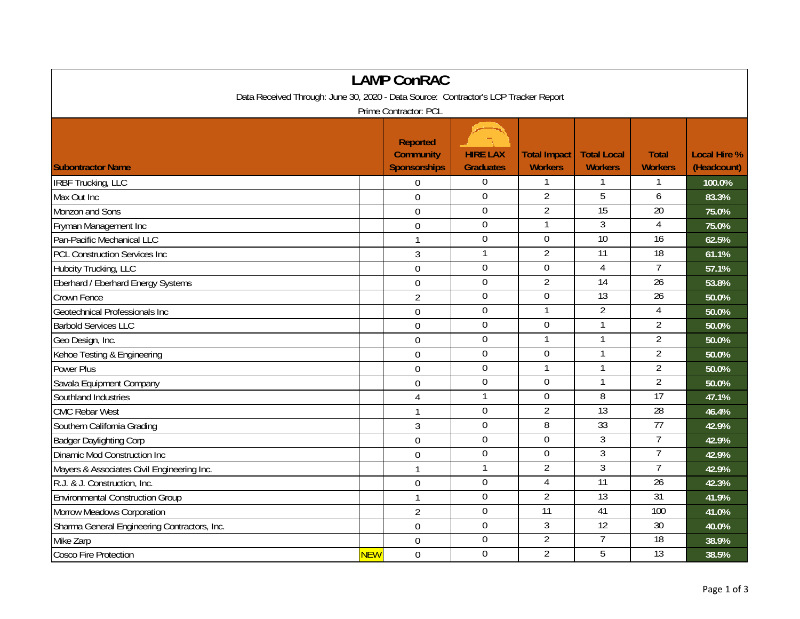| <b>LAMP ConRAC</b>                                                                  |                  |                                                            |                                     |                                       |                                      |                                |                                    |  |  |
|-------------------------------------------------------------------------------------|------------------|------------------------------------------------------------|-------------------------------------|---------------------------------------|--------------------------------------|--------------------------------|------------------------------------|--|--|
| Data Received Through: June 30, 2020 - Data Source: Contractor's LCP Tracker Report |                  |                                                            |                                     |                                       |                                      |                                |                                    |  |  |
| Prime Contractor: PCL                                                               |                  |                                                            |                                     |                                       |                                      |                                |                                    |  |  |
| <b>Subontractor Name</b>                                                            |                  | <b>Reported</b><br><b>Community</b><br><b>Sponsorships</b> | <b>HIRE LAX</b><br><b>Graduates</b> | <b>Total Impact</b><br><b>Workers</b> | <b>Total Local</b><br><b>Workers</b> | <b>Total</b><br><b>Workers</b> | <b>Local Hire %</b><br>(Headcount) |  |  |
| <b>IRBF Trucking, LLC</b>                                                           |                  | $\overline{0}$                                             | $\overline{0}$                      |                                       |                                      |                                | 100.0%                             |  |  |
| Max Out Inc                                                                         |                  | $\mathbf 0$                                                | $\overline{0}$                      | $\overline{2}$                        | $\overline{5}$                       | 6                              | 83.3%                              |  |  |
| Monzon and Sons                                                                     |                  | $\mathbf 0$                                                | $\mathbf 0$                         | $\overline{2}$                        | 15                                   | $\overline{20}$                | 75.0%                              |  |  |
| Fryman Management Inc                                                               |                  | $\overline{0}$                                             | $\overline{0}$                      | $\mathbf{1}$                          | $\overline{3}$                       | $\overline{4}$                 | 75.0%                              |  |  |
| Pan-Pacific Mechanical LLC                                                          |                  | $\mathbf{1}$                                               | $\mathbf 0$                         | $\mathbf 0$                           | $\overline{10}$                      | $\overline{16}$                | 62.5%                              |  |  |
| <b>PCL Construction Services Inc</b>                                                |                  | $\overline{3}$                                             | $\overline{1}$                      | $\overline{2}$                        | $\overline{11}$                      | 18                             | 61.1%                              |  |  |
| Hubcity Trucking, LLC                                                               |                  | $\mathbf 0$                                                | $\overline{0}$                      | $\mathbf 0$                           | $\overline{4}$                       | $\overline{7}$                 | 57.1%                              |  |  |
| Eberhard / Eberhard Energy Systems                                                  |                  | $\mathbf 0$                                                | $\boldsymbol{0}$                    | $\overline{2}$                        | 14                                   | $\overline{26}$                | 53.8%                              |  |  |
| Crown Fence                                                                         |                  | $\overline{2}$                                             | $\mathbf 0$                         | $\mathbf 0$                           | $\overline{13}$                      | 26                             | 50.0%                              |  |  |
| Geotechnical Professionals Inc                                                      |                  | 0                                                          | $\mathbf 0$                         | $\overline{1}$                        | $\overline{2}$                       | $\overline{4}$                 | 50.0%                              |  |  |
| <b>Barbold Services LLC</b>                                                         |                  | $\overline{0}$                                             | $\overline{0}$                      | $\Omega$                              | $\mathbf{1}$                         | $\overline{2}$                 | 50.0%                              |  |  |
| Geo Design, Inc.                                                                    |                  | $\mathbf 0$                                                | $\overline{0}$                      | $\mathbf{1}$                          | $\mathbf{1}$                         | $\overline{2}$                 | 50.0%                              |  |  |
| Kehoe Testing & Engineering                                                         |                  | $\mathbf 0$                                                | $\overline{0}$                      | $\mathbf 0$                           | $\mathbf{1}$                         | $\overline{2}$                 | 50.0%                              |  |  |
| <b>Power Plus</b>                                                                   |                  | 0                                                          | $\overline{0}$                      | $\mathbf{1}$                          | $\mathbf{1}$                         | $\overline{2}$                 | 50.0%                              |  |  |
| Savala Equipment Company                                                            |                  | $\overline{0}$                                             | $\overline{0}$                      | $\mathbf 0$                           | 1                                    | $\overline{2}$                 | 50.0%                              |  |  |
| Southland Industries                                                                |                  | 4                                                          | $\overline{1}$                      | $\mathbf 0$                           | 8                                    | 17                             | 47.1%                              |  |  |
| <b>CMC Rebar West</b>                                                               |                  | $\mathbf{1}$                                               | $\overline{0}$                      | $\overline{2}$                        | $\overline{13}$                      | $\overline{28}$                | 46.4%                              |  |  |
| Southern California Grading                                                         |                  | 3                                                          | $\overline{0}$                      | 8                                     | 33                                   | $\overline{77}$                | 42.9%                              |  |  |
| <b>Badger Daylighting Corp</b>                                                      |                  | $\overline{0}$                                             | $\overline{0}$                      | $\overline{0}$                        | $\overline{3}$                       | 7                              | 42.9%                              |  |  |
| <b>Dinamic Mod Construction Inc</b>                                                 |                  | 0                                                          | $\mathbf 0$                         | $\overline{0}$                        | $\overline{3}$                       | $\overline{7}$                 | 42.9%                              |  |  |
| Mayers & Associates Civil Engineering Inc.                                          |                  | $\mathbf{1}$                                               | $\mathbf{1}$                        | $\overline{2}$                        | $\mathfrak{Z}$                       | $\overline{7}$                 | 42.9%                              |  |  |
| R.J. & J. Construction, Inc.                                                        |                  | $\overline{0}$                                             | $\mathbf 0$                         | $\overline{4}$                        | $\overline{11}$                      | $\overline{26}$                | 42.3%                              |  |  |
| <b>Environmental Construction Group</b>                                             |                  | $\mathbf{1}$                                               | $\overline{0}$                      | $\overline{2}$                        | 13                                   | 31                             | 41.9%                              |  |  |
| Morrow Meadows Corporation                                                          |                  | $\overline{2}$                                             | $\overline{0}$                      | 11                                    | 41                                   | 100                            | 41.0%                              |  |  |
| Sharma General Engineering Contractors, Inc.                                        |                  | $\mathbf 0$                                                | $\overline{0}$                      | 3                                     | 12                                   | 30                             | 40.0%                              |  |  |
| Mike Zarp                                                                           |                  | $\overline{0}$                                             | $\mathbf 0$                         | $\overline{2}$                        | $\overline{7}$                       | $\overline{18}$                | 38.9%                              |  |  |
| <b>Cosco Fire Protection</b>                                                        | <mark>NEW</mark> | $\mathbf 0$                                                | $\mathbf 0$                         | $\overline{2}$                        | 5                                    | $\overline{13}$                | 38.5%                              |  |  |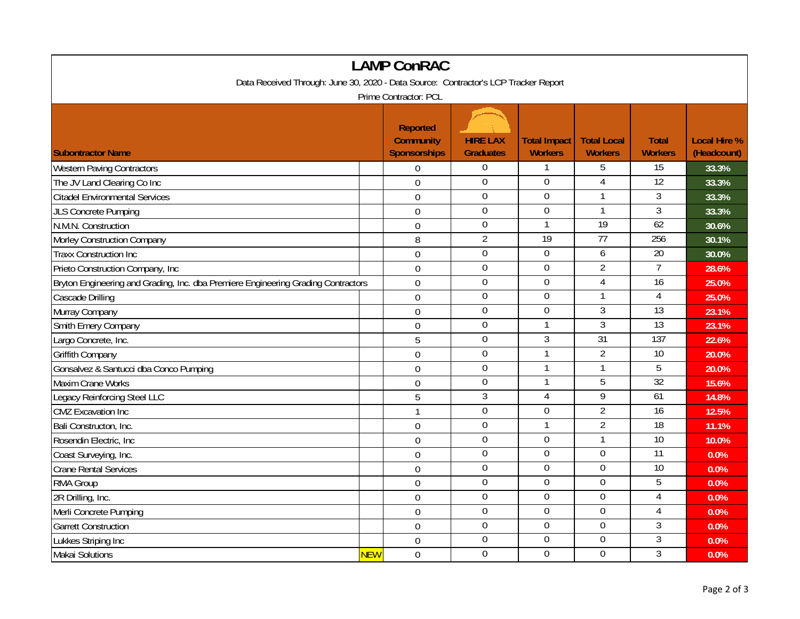| <b>LAMP ConRAC</b>                                                                  |            |                                                            |                                     |                                       |                                      |                                |                                    |  |  |
|-------------------------------------------------------------------------------------|------------|------------------------------------------------------------|-------------------------------------|---------------------------------------|--------------------------------------|--------------------------------|------------------------------------|--|--|
| Data Received Through: June 30, 2020 - Data Source: Contractor's LCP Tracker Report |            |                                                            |                                     |                                       |                                      |                                |                                    |  |  |
| Prime Contractor: PCL                                                               |            |                                                            |                                     |                                       |                                      |                                |                                    |  |  |
| <b>Subontractor Name</b>                                                            |            | <b>Reported</b><br><b>Community</b><br><b>Sponsorships</b> | <b>HIRE LAX</b><br><b>Graduates</b> | <b>Total Impact</b><br><b>Workers</b> | <b>Total Local</b><br><b>Workers</b> | <b>Total</b><br><b>Workers</b> | <b>Local Hire %</b><br>(Headcount) |  |  |
| <b>Western Paving Contractors</b>                                                   |            | $\mathbf 0$                                                | $\overline{0}$                      | $\mathbf{1}$                          | 5                                    | 15                             | 33.3%                              |  |  |
| The JV Land Clearing Co Inc                                                         |            | $\mathbf 0$                                                | $\overline{0}$                      | $\mathbf 0$                           | $\overline{4}$                       | $\overline{12}$                | 33.3%                              |  |  |
| <b>Citadel Environmental Services</b>                                               |            | $\boldsymbol{0}$                                           | $\boldsymbol{0}$                    | $\boldsymbol{0}$                      |                                      | $\overline{3}$                 | 33.3%                              |  |  |
| <b>JLS Concrete Pumping</b>                                                         |            | $\overline{0}$                                             | $\overline{0}$                      | $\overline{0}$                        | 1                                    | $\overline{3}$                 | 33.3%                              |  |  |
| N.M.N. Construction                                                                 |            | $\boldsymbol{0}$                                           | $\boldsymbol{0}$                    | $\mathbf{1}$                          | 19                                   | 62                             | 30.6%                              |  |  |
| Morley Construction Company                                                         |            | 8                                                          | $\overline{2}$                      | 19                                    | $\overline{77}$                      | 256                            | 30.1%                              |  |  |
| <b>Traxx Construction Inc</b>                                                       |            | $\overline{0}$                                             | $\mathbf 0$                         | $\mathbf 0$                           | 6                                    | 20                             | 30.0%                              |  |  |
| Prieto Construction Company, Inc                                                    |            | $\overline{0}$                                             | $\overline{0}$                      | $\boldsymbol{0}$                      | $\overline{2}$                       | $\overline{7}$                 | 28.6%                              |  |  |
| Bryton Engineering and Grading, Inc. dba Premiere Engineering Grading Contractors   |            | $\overline{0}$                                             | $\mathbf 0$                         | $\overline{0}$                        | $\overline{4}$                       | 16                             | 25.0%                              |  |  |
| Cascade Drilling                                                                    |            | $\mathbf 0$                                                | $\overline{0}$                      | $\overline{0}$                        | $\mathbf{1}$                         | $\overline{4}$                 | 25.0%                              |  |  |
| Murray Company                                                                      |            | 0                                                          | $\mathbf 0$                         | $\mathbf 0$                           | 3                                    | $\overline{13}$                | 23.1%                              |  |  |
| Smith Emery Company                                                                 |            | $\overline{0}$                                             | $\mathbf 0$                         | $\mathbf{1}$                          | $\overline{3}$                       | 13                             | 23.1%                              |  |  |
| Largo Concrete, Inc.                                                                |            | 5                                                          | $\mathbf 0$                         | $\mathfrak{Z}$                        | $\overline{31}$                      | 137                            | 22.6%                              |  |  |
| Griffith Company                                                                    |            | $\mathbf 0$                                                | $\boldsymbol{0}$                    | $\mathbf{1}$                          | $\overline{2}$                       | $\overline{10}$                | 20.0%                              |  |  |
| Gonsalvez & Santucci dba Conco Pumping                                              |            | $\mathbf 0$                                                | $\boldsymbol{0}$                    | $\mathbf{1}$                          | 1                                    | $\overline{5}$                 | 20.0%                              |  |  |
| Maxim Crane Works                                                                   |            | $\overline{0}$                                             | $\boldsymbol{0}$                    | 1                                     | 5                                    | 32                             | 15.6%                              |  |  |
| Legacy Reinforcing Steel LLC                                                        |            | 5                                                          | $\sqrt{3}$                          | 4                                     | 9                                    | 61                             | 14.8%                              |  |  |
| <b>CMZ</b> Excavation Inc                                                           |            | $\mathbf{1}$                                               | $\boldsymbol{0}$                    | $\mathbf 0$                           | $\overline{2}$                       | $\overline{16}$                | 12.5%                              |  |  |
| Bali Constructon, Inc.                                                              |            | $\overline{0}$                                             | $\mathbf 0$                         | $\mathbf{1}$                          | $\overline{2}$                       | $\overline{18}$                | 11.1%                              |  |  |
| Rosendin Electric, Inc.                                                             |            | $\mathbf 0$                                                | $\mathbf 0$                         | $\mathbf 0$                           | $\mathbf{1}$                         | 10                             | 10.0%                              |  |  |
| Coast Surveying, Inc.                                                               |            | $\mathbf 0$                                                | $\overline{0}$                      | $\overline{0}$                        | $\overline{0}$                       | 11                             | 0.0%                               |  |  |
| <b>Crane Rental Services</b>                                                        |            | $\boldsymbol{0}$                                           | $\overline{0}$                      | $\mathbf 0$                           | $\mathbf 0$                          | $\overline{10}$                | 0.0%                               |  |  |
| RMA Group                                                                           |            | $\overline{0}$                                             | $\overline{0}$                      | $\overline{0}$                        | $\overline{0}$                       | $\overline{5}$                 | 0.0%                               |  |  |
| 2R Drilling, Inc.                                                                   |            | $\mathbf 0$                                                | $\mathbf 0$                         | $\mathbf 0$                           | $\mathbf 0$                          | $\overline{4}$                 | 0.0%                               |  |  |
| Merli Concrete Pumping                                                              |            | $\mathbf 0$                                                | $\boldsymbol{0}$                    | $\overline{0}$                        | $\boldsymbol{0}$                     | $\overline{4}$                 | 0.0%                               |  |  |
| <b>Garrett Construction</b>                                                         |            | $\mathbf 0$                                                | $\boldsymbol{0}$                    | $\boldsymbol{0}$                      | $\mathbf 0$                          | $\mathfrak{Z}$                 | 0.0%                               |  |  |
| Lukkes Striping Inc                                                                 |            | $\boldsymbol{0}$                                           | $\mathbf 0$                         | $\mathbf 0$                           | $\mathbf 0$                          | 3                              | 0.0%                               |  |  |
| Makai Solutions                                                                     | <b>NEW</b> | $\mathbf 0$                                                | $\overline{0}$                      | $\overline{0}$                        | $\overline{0}$                       | $\overline{3}$                 | 0.0%                               |  |  |